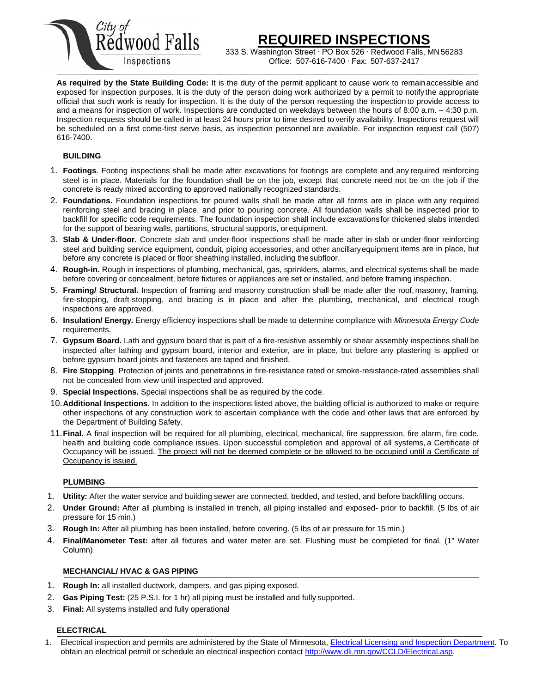

# **REQUIRED INSPECTIONS**

333 S. Washington Street ∙ PO Box 526 ⋅ Redwood Falls, MN 56283<br>Inspections Office: 507-616-7400 ⋅ Fax: 507-637-2417 Office: 507-616-7400 ∙ Fax: 507-637-2417

**As required by the State Building Code:** It is the duty of the permit applicant to cause work to remainaccessible and exposed for inspection purposes. It is the duty of the person doing work authorized by a permit to notify the appropriate official that such work is ready for inspection. It is the duty of the person requesting the inspection to provide access to and a means for inspection of work. Inspections are conducted on weekdays between the hours of 8:00 a.m. – 4:30 p.m. Inspection requests should be called in at least 24 hours prior to time desired to verify availability. Inspections request will be scheduled on a first come-first serve basis, as inspection personnel are available. For inspection request call (507) 616-7400.

## **BUILDING**

- 1. **Footings**. Footing inspections shall be made after excavations for footings are complete and any required reinforcing steel is in place. Materials for the foundation shall be on the job, except that concrete need not be on the job if the concrete is ready mixed according to approved nationally recognized standards.
- 2. **Foundations.** Foundation inspections for poured walls shall be made after all forms are in place with any required reinforcing steel and bracing in place, and prior to pouring concrete. All foundation walls shall be inspected prior to backfill for specific code requirements. The foundation inspection shall include excavationsfor thickened slabs intended for the support of bearing walls, partitions, structural supports, or equipment.
- 3. **Slab & Under-floor.** Concrete slab and under-floor inspections shall be made after in-slab or under-floor reinforcing steel and building service equipment, conduit, piping accessories, and other ancillaryequipment items are in place, but before any concrete is placed or floor sheathing installed, including thesubfloor.
- 4. **Rough-in.** Rough in inspections of plumbing, mechanical, gas, sprinklers, alarms, and electrical systems shall be made before covering or concealment, before fixtures or appliances are set or installed, and before framing inspection.
- 5. **Framing/ Structural.** Inspection of framing and masonry construction shall be made after the roof, masonry, framing, fire-stopping, draft-stopping, and bracing is in place and after the plumbing, mechanical, and electrical rough inspections are approved.
- 6. **Insulation/ Energy.** Energy efficiency inspections shall be made to determine compliance with *Minnesota Energy Code*  requirements.
- 7. **Gypsum Board.** Lath and gypsum board that is part of a fire-resistive assembly or shear assembly inspections shall be inspected after lathing and gypsum board, interior and exterior, are in place, but before any plastering is applied or before gypsum board joints and fasteners are taped and finished.
- 8. **Fire Stopping**. Protection of joints and penetrations in fire-resistance rated or smoke-resistance-rated assemblies shall not be concealed from view until inspected and approved.
- 9. **Special Inspections.** Special inspections shall be as required by the code.
- 10.**Additional Inspections.** In addition to the inspections listed above, the building official is authorized to make or require other inspections of any construction work to ascertain compliance with the code and other laws that are enforced by the Department of Building Safety.
- 11.**Final.** A final inspection will be required for all plumbing, electrical, mechanical, fire suppression, fire alarm, fire code, health and building code compliance issues. Upon successful completion and approval of all systems, a Certificate of Occupancy will be issued. The project will not be deemed complete or be allowed to be occupied until a Certificate of Occupancy is issued.

### **PLUMBING**

- 1. **Utility:** After the water service and building sewer are connected, bedded, and tested, and before backfilling occurs.
- 2. **Under Ground:** After all plumbing is installed in trench, all piping installed and exposed- prior to backfill. (5 lbs of air pressure for 15 min.)
- 3. **Rough In:** After all plumbing has been installed, before covering. (5 lbs of air pressure for 15 min.)
- 4. **Final/Manometer Test:** after all fixtures and water meter are set. Flushing must be completed for final. (1" Water Column)

### **MECHANCIAL/ HVAC & GAS PIPING**

- 1. **Rough In:** all installed ductwork, dampers, and gas piping exposed.
- 2. **Gas Piping Test:** (25 P.S.I. for 1 hr) all piping must be installed and fully supported.
- 3. **Final:** All systems installed and fully operational

### **ELECTRICAL**

<sup>1.</sup> Electrical inspection and permits are administered by the State of Minnesota[, Electrical Licensing and Inspection Department.](http://www.dli.mn.gov/CCLD/Electrical.asp) To obtain an electrical permit or schedule an electrical inspection contac[t http://www.dli.mn.gov/CCLD/Electrical.asp.](http://www.dli.mn.gov/CCLD/Electrical.asp)